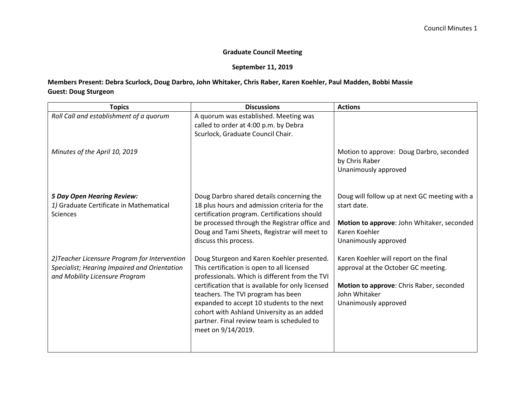## **Graduate Council Meeting**

## **September 11, 2019**

## **Members Present: Debra Scurlock, Doug Darbro, John Whitaker, Chris Raber, Karen Koehler, Paul Madden, Bobbi Massie Guest: Doug Sturgeon**

| <b>Topics</b>                                                                                                                   | <b>Discussions</b>                                                                                                                                                                                                                                                                                                                                                                                    | <b>Actions</b>                                                                                                                                                     |
|---------------------------------------------------------------------------------------------------------------------------------|-------------------------------------------------------------------------------------------------------------------------------------------------------------------------------------------------------------------------------------------------------------------------------------------------------------------------------------------------------------------------------------------------------|--------------------------------------------------------------------------------------------------------------------------------------------------------------------|
| Roll Call and establishment of a quorum                                                                                         | A quorum was established. Meeting was<br>called to order at 4:00 p.m. by Debra<br>Scurlock, Graduate Council Chair.                                                                                                                                                                                                                                                                                   |                                                                                                                                                                    |
| Minutes of the April 10, 2019                                                                                                   |                                                                                                                                                                                                                                                                                                                                                                                                       | Motion to approve: Doug Darbro, seconded<br>by Chris Raber<br>Unanimously approved                                                                                 |
| <b>5 Day Open Hearing Review:</b><br>1) Graduate Certificate in Mathematical<br><b>Sciences</b>                                 | Doug Darbro shared details concerning the<br>18 plus hours and admission criteria for the<br>certification program. Certifications should<br>be processed through the Registrar office and<br>Doug and Tami Sheets, Registrar will meet to<br>discuss this process.                                                                                                                                   | Doug will follow up at next GC meeting with a<br>start date.<br>Motion to approve: John Whitaker, seconded<br>Karen Koehler<br>Unanimously approved                |
| 2) Teacher Licensure Program for Intervention<br>Specialist; Hearing Impaired and Orientation<br>and Mobility Licensure Program | Doug Sturgeon and Karen Koehler presented.<br>This certification is open to all licensed<br>professionals. Which is different from the TVI<br>certification that is available for only licensed<br>teachers. The TVI program has been<br>expanded to accept 10 students to the next<br>cohort with Ashland University as an added<br>partner. Final review team is scheduled to<br>meet on 9/14/2019. | Karen Koehler will report on the final<br>approval at the October GC meeting.<br>Motion to approve: Chris Raber, seconded<br>John Whitaker<br>Unanimously approved |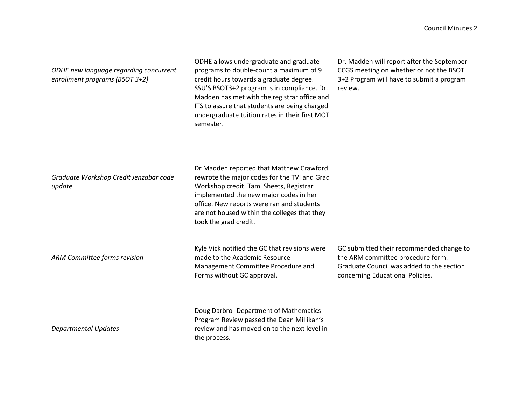| ODHE new language regarding concurrent<br>enrollment programs (BSOT 3+2) | ODHE allows undergraduate and graduate<br>programs to double-count a maximum of 9<br>credit hours towards a graduate degree.<br>SSU'S BSOT3+2 program is in compliance. Dr.<br>Madden has met with the registrar office and<br>ITS to assure that students are being charged<br>undergraduate tuition rates in their first MOT<br>semester. | Dr. Madden will report after the September<br>CCGS meeting on whether or not the BSOT<br>3+2 Program will have to submit a program<br>review.                  |
|--------------------------------------------------------------------------|---------------------------------------------------------------------------------------------------------------------------------------------------------------------------------------------------------------------------------------------------------------------------------------------------------------------------------------------|----------------------------------------------------------------------------------------------------------------------------------------------------------------|
| Graduate Workshop Credit Jenzabar code<br>update                         | Dr Madden reported that Matthew Crawford<br>rewrote the major codes for the TVI and Grad<br>Workshop credit. Tami Sheets, Registrar<br>implemented the new major codes in her<br>office. New reports were ran and students<br>are not housed within the colleges that they<br>took the grad credit.                                         |                                                                                                                                                                |
| ARM Committee forms revision                                             | Kyle Vick notified the GC that revisions were<br>made to the Academic Resource<br>Management Committee Procedure and<br>Forms without GC approval.                                                                                                                                                                                          | GC submitted their recommended change to<br>the ARM committee procedure form.<br>Graduate Council was added to the section<br>concerning Educational Policies. |
| <b>Departmental Updates</b>                                              | Doug Darbro- Department of Mathematics<br>Program Review passed the Dean Millikan's<br>review and has moved on to the next level in<br>the process.                                                                                                                                                                                         |                                                                                                                                                                |